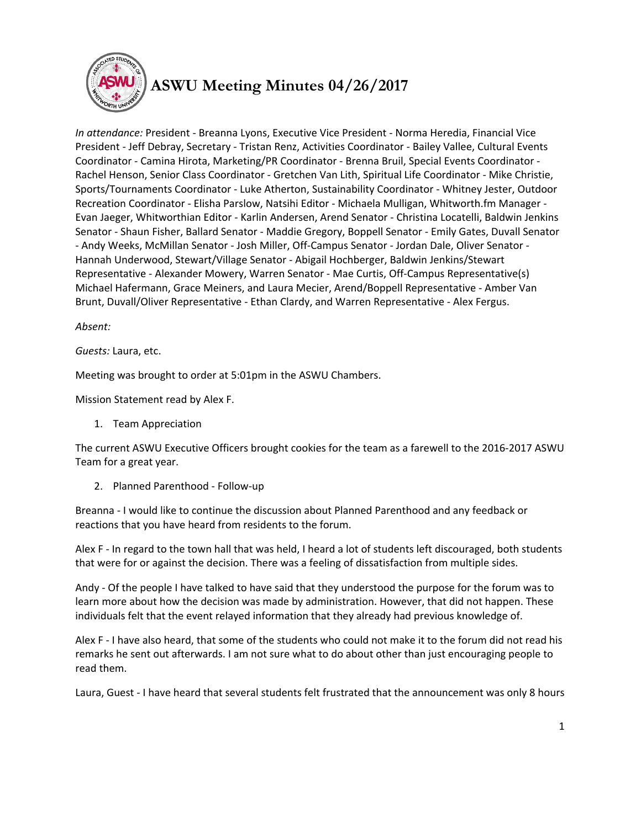

## **ASWU Meeting Minutes 04/26/2017**

*In attendance:* President - Breanna Lyons, Executive Vice President - Norma Heredia, Financial Vice President - Jeff Debray, Secretary - Tristan Renz, Activities Coordinator - Bailey Vallee, Cultural Events Coordinator - Camina Hirota, Marketing/PR Coordinator - Brenna Bruil, Special Events Coordinator - Rachel Henson, Senior Class Coordinator - Gretchen Van Lith, Spiritual Life Coordinator - Mike Christie, Sports/Tournaments Coordinator - Luke Atherton, Sustainability Coordinator - Whitney Jester, Outdoor Recreation Coordinator - Elisha Parslow, Natsihi Editor - Michaela Mulligan, Whitworth.fm Manager - Evan Jaeger, Whitworthian Editor - Karlin Andersen, Arend Senator - Christina Locatelli, Baldwin Jenkins Senator - Shaun Fisher, Ballard Senator - Maddie Gregory, Boppell Senator - Emily Gates, Duvall Senator - Andy Weeks, McMillan Senator - Josh Miller, Off-Campus Senator - Jordan Dale, Oliver Senator - Hannah Underwood, Stewart/Village Senator - Abigail Hochberger, Baldwin Jenkins/Stewart Representative - Alexander Mowery, Warren Senator - Mae Curtis, Off-Campus Representative(s) Michael Hafermann, Grace Meiners, and Laura Mecier, Arend/Boppell Representative - Amber Van Brunt, Duvall/Oliver Representative - Ethan Clardy, and Warren Representative - Alex Fergus.

## *Absent:*

*Guests:* Laura, etc.

Meeting was brought to order at 5:01pm in the ASWU Chambers.

Mission Statement read by Alex F.

1. Team Appreciation

The current ASWU Executive Officers brought cookies for the team as a farewell to the 2016-2017 ASWU Team for a great year.

2. Planned Parenthood - Follow-up

Breanna - I would like to continue the discussion about Planned Parenthood and any feedback or reactions that you have heard from residents to the forum.

Alex F - In regard to the town hall that was held, I heard a lot of students left discouraged, both students that were for or against the decision. There was a feeling of dissatisfaction from multiple sides.

Andy - Of the people I have talked to have said that they understood the purpose for the forum was to learn more about how the decision was made by administration. However, that did not happen. These individuals felt that the event relayed information that they already had previous knowledge of.

Alex F - I have also heard, that some of the students who could not make it to the forum did not read his remarks he sent out afterwards. I am not sure what to do about other than just encouraging people to read them.

Laura, Guest - I have heard that several students felt frustrated that the announcement was only 8 hours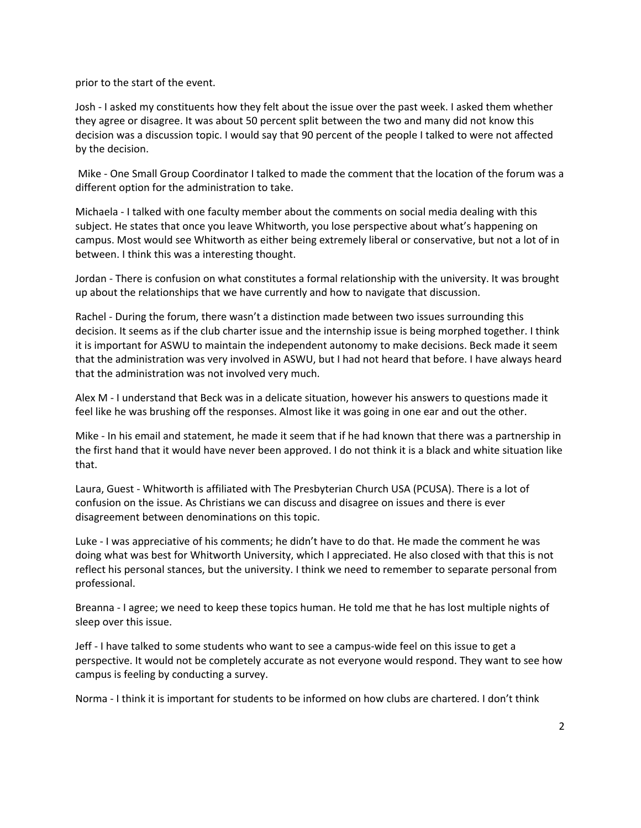prior to the start of the event.

Josh - I asked my constituents how they felt about the issue over the past week. I asked them whether they agree or disagree. It was about 50 percent split between the two and many did not know this decision was a discussion topic. I would say that 90 percent of the people I talked to were not affected by the decision.

Mike - One Small Group Coordinator I talked to made the comment that the location of the forum was a different option for the administration to take.

Michaela - I talked with one faculty member about the comments on social media dealing with this subject. He states that once you leave Whitworth, you lose perspective about what's happening on campus. Most would see Whitworth as either being extremely liberal or conservative, but not a lot of in between. I think this was a interesting thought.

Jordan - There is confusion on what constitutes a formal relationship with the university. It was brought up about the relationships that we have currently and how to navigate that discussion.

Rachel - During the forum, there wasn't a distinction made between two issues surrounding this decision. It seems as if the club charter issue and the internship issue is being morphed together. I think it is important for ASWU to maintain the independent autonomy to make decisions. Beck made it seem that the administration was very involved in ASWU, but I had not heard that before. I have always heard that the administration was not involved very much.

Alex M - I understand that Beck was in a delicate situation, however his answers to questions made it feel like he was brushing off the responses. Almost like it was going in one ear and out the other.

Mike - In his email and statement, he made it seem that if he had known that there was a partnership in the first hand that it would have never been approved. I do not think it is a black and white situation like that.

Laura, Guest - Whitworth is affiliated with The Presbyterian Church USA (PCUSA). There is a lot of confusion on the issue. As Christians we can discuss and disagree on issues and there is ever disagreement between denominations on this topic.

Luke - I was appreciative of his comments; he didn't have to do that. He made the comment he was doing what was best for Whitworth University, which I appreciated. He also closed with that this is not reflect his personal stances, but the university. I think we need to remember to separate personal from professional.

Breanna - I agree; we need to keep these topics human. He told me that he has lost multiple nights of sleep over this issue.

Jeff - I have talked to some students who want to see a campus-wide feel on this issue to get a perspective. It would not be completely accurate as not everyone would respond. They want to see how campus is feeling by conducting a survey.

Norma - I think it is important for students to be informed on how clubs are chartered. I don't think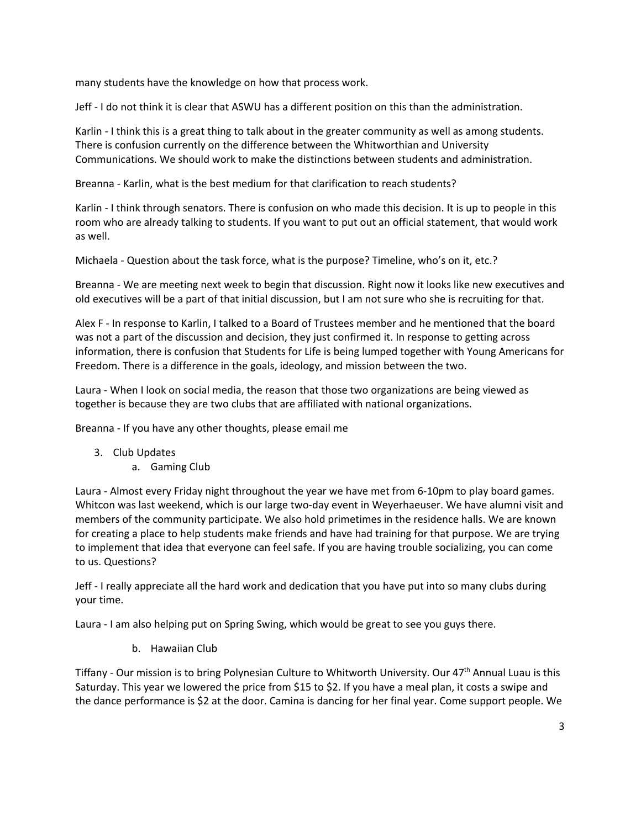many students have the knowledge on how that process work.

Jeff - I do not think it is clear that ASWU has a different position on this than the administration.

Karlin - I think this is a great thing to talk about in the greater community as well as among students. There is confusion currently on the difference between the Whitworthian and University Communications. We should work to make the distinctions between students and administration.

Breanna - Karlin, what is the best medium for that clarification to reach students?

Karlin - I think through senators. There is confusion on who made this decision. It is up to people in this room who are already talking to students. If you want to put out an official statement, that would work as well.

Michaela - Question about the task force, what is the purpose? Timeline, who's on it, etc.?

Breanna - We are meeting next week to begin that discussion. Right now it looks like new executives and old executives will be a part of that initial discussion, but I am not sure who she is recruiting for that.

Alex F - In response to Karlin, I talked to a Board of Trustees member and he mentioned that the board was not a part of the discussion and decision, they just confirmed it. In response to getting across information, there is confusion that Students for Life is being lumped together with Young Americans for Freedom. There is a difference in the goals, ideology, and mission between the two.

Laura - When I look on social media, the reason that those two organizations are being viewed as together is because they are two clubs that are affiliated with national organizations.

Breanna - If you have any other thoughts, please email me

- 3. Club Updates
	- a. Gaming Club

Laura - Almost every Friday night throughout the year we have met from 6-10pm to play board games. Whitcon was last weekend, which is our large two-day event in Weyerhaeuser. We have alumni visit and members of the community participate. We also hold primetimes in the residence halls. We are known for creating a place to help students make friends and have had training for that purpose. We are trying to implement that idea that everyone can feel safe. If you are having trouble socializing, you can come to us. Questions?

Jeff - I really appreciate all the hard work and dedication that you have put into so many clubs during your time.

Laura - I am also helping put on Spring Swing, which would be great to see you guys there.

b. Hawaiian Club

Tiffany - Our mission is to bring Polynesian Culture to Whitworth University. Our 47<sup>th</sup> Annual Luau is this Saturday. This year we lowered the price from \$15 to \$2. If you have a meal plan, it costs a swipe and the dance performance is \$2 at the door. Camina is dancing for her final year. Come support people. We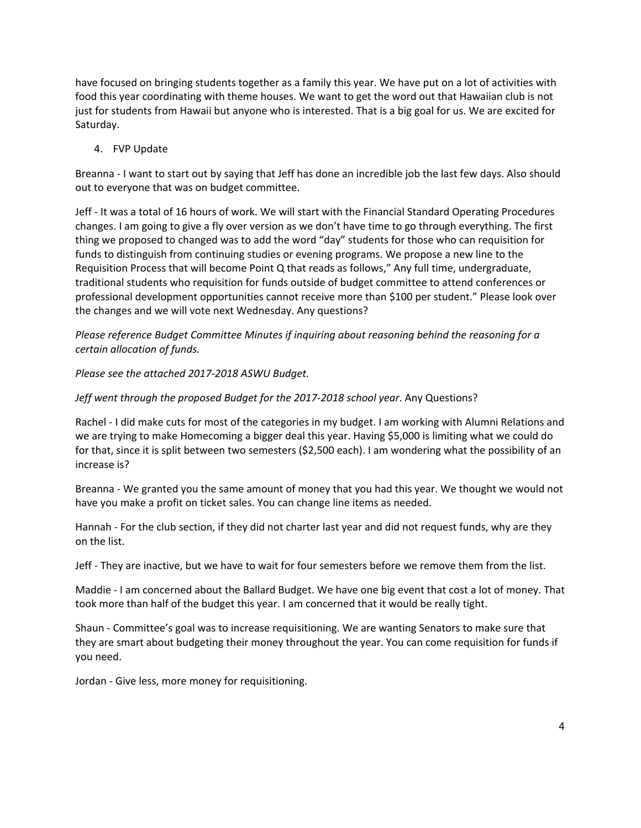have focused on bringing students together as a family this year. We have put on a lot of activities with food this year coordinating with theme houses. We want to get the word out that Hawaiian club is not just for students from Hawaii but anyone who is interested. That is a big goal for us. We are excited for Saturday.

## 4. FVP Update

Breanna - I want to start out by saying that Jeff has done an incredible job the last few days. Also should out to everyone that was on budget committee.

Jeff - It was a total of 16 hours of work. We will start with the Financial Standard Operating Procedures changes. I am going to give a fly over version as we don't have time to go through everything. The first thing we proposed to changed was to add the word "day" students for those who can requisition for funds to distinguish from continuing studies or evening programs. We propose a new line to the Requisition Process that will become Point Q that reads as follows," Any full time, undergraduate, traditional students who requisition for funds outside of budget committee to attend conferences or professional development opportunities cannot receive more than \$100 per student." Please look over the changes and we will vote next Wednesday. Any questions?

*Please reference Budget Committee Minutes if inquiring about reasoning behind the reasoning for a certain allocation of funds.*

*Please see the attached 2017-2018 ASWU Budget.*

*Jeff went through the proposed Budget for the 2017-2018 school year*. Any Questions?

Rachel - I did make cuts for most of the categories in my budget. I am working with Alumni Relations and we are trying to make Homecoming a bigger deal this year. Having \$5,000 is limiting what we could do for that, since it is split between two semesters (\$2,500 each). I am wondering what the possibility of an increase is?

Breanna - We granted you the same amount of money that you had this year. We thought we would not have you make a profit on ticket sales. You can change line items as needed.

Hannah - For the club section, if they did not charter last year and did not request funds, why are they on the list.

Jeff - They are inactive, but we have to wait for four semesters before we remove them from the list.

Maddie - I am concerned about the Ballard Budget. We have one big event that cost a lot of money. That took more than half of the budget this year. I am concerned that it would be really tight.

Shaun - Committee's goal was to increase requisitioning. We are wanting Senators to make sure that they are smart about budgeting their money throughout the year. You can come requisition for funds if you need.

Jordan - Give less, more money for requisitioning.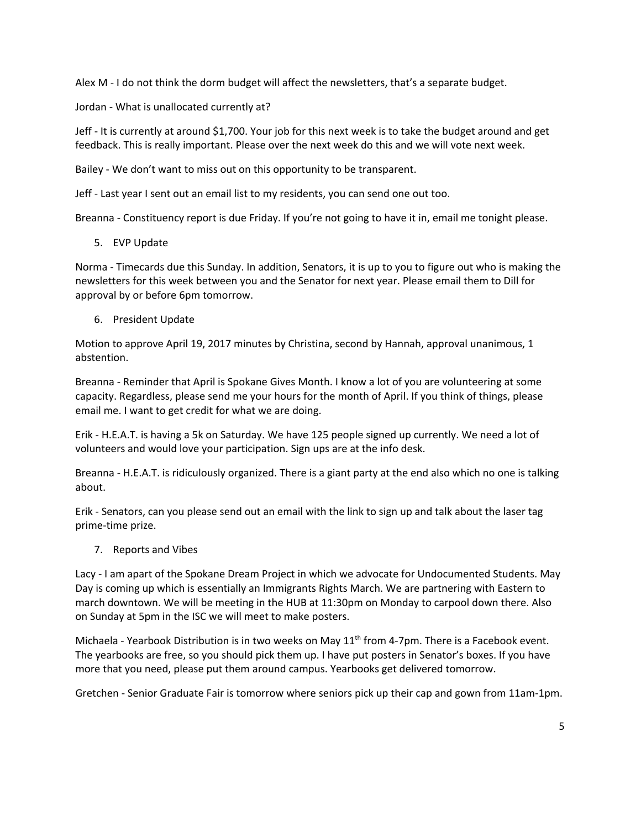Alex M - I do not think the dorm budget will affect the newsletters, that's a separate budget.

Jordan - What is unallocated currently at?

Jeff - It is currently at around \$1,700. Your job for this next week is to take the budget around and get feedback. This is really important. Please over the next week do this and we will vote next week.

Bailey - We don't want to miss out on this opportunity to be transparent.

Jeff - Last year I sent out an email list to my residents, you can send one out too.

Breanna - Constituency report is due Friday. If you're not going to have it in, email me tonight please.

5. EVP Update

Norma - Timecards due this Sunday. In addition, Senators, it is up to you to figure out who is making the newsletters for this week between you and the Senator for next year. Please email them to Dill for approval by or before 6pm tomorrow.

6. President Update

Motion to approve April 19, 2017 minutes by Christina, second by Hannah, approval unanimous, 1 abstention.

Breanna - Reminder that April is Spokane Gives Month. I know a lot of you are volunteering at some capacity. Regardless, please send me your hours for the month of April. If you think of things, please email me. I want to get credit for what we are doing.

Erik - H.E.A.T. is having a 5k on Saturday. We have 125 people signed up currently. We need a lot of volunteers and would love your participation. Sign ups are at the info desk.

Breanna - H.E.A.T. is ridiculously organized. There is a giant party at the end also which no one is talking about.

Erik - Senators, can you please send out an email with the link to sign up and talk about the laser tag prime-time prize.

7. Reports and Vibes

Lacy - I am apart of the Spokane Dream Project in which we advocate for Undocumented Students. May Day is coming up which is essentially an Immigrants Rights March. We are partnering with Eastern to march downtown. We will be meeting in the HUB at 11:30pm on Monday to carpool down there. Also on Sunday at 5pm in the ISC we will meet to make posters.

Michaela - Yearbook Distribution is in two weeks on May  $11<sup>th</sup>$  from 4-7pm. There is a Facebook event. The yearbooks are free, so you should pick them up. I have put posters in Senator's boxes. If you have more that you need, please put them around campus. Yearbooks get delivered tomorrow.

Gretchen - Senior Graduate Fair is tomorrow where seniors pick up their cap and gown from 11am-1pm.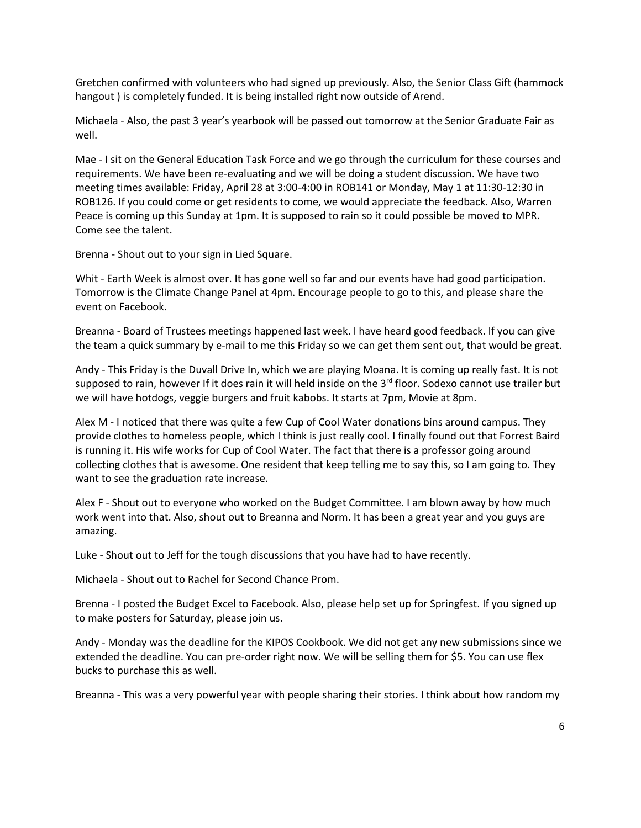Gretchen confirmed with volunteers who had signed up previously. Also, the Senior Class Gift (hammock hangout ) is completely funded. It is being installed right now outside of Arend.

Michaela - Also, the past 3 year's yearbook will be passed out tomorrow at the Senior Graduate Fair as well.

Mae - I sit on the General Education Task Force and we go through the curriculum for these courses and requirements. We have been re-evaluating and we will be doing a student discussion. We have two meeting times available: Friday, April 28 at 3:00-4:00 in ROB141 or Monday, May 1 at 11:30-12:30 in ROB126. If you could come or get residents to come, we would appreciate the feedback. Also, Warren Peace is coming up this Sunday at 1pm. It is supposed to rain so it could possible be moved to MPR. Come see the talent.

Brenna - Shout out to your sign in Lied Square.

Whit - Earth Week is almost over. It has gone well so far and our events have had good participation. Tomorrow is the Climate Change Panel at 4pm. Encourage people to go to this, and please share the event on Facebook.

Breanna - Board of Trustees meetings happened last week. I have heard good feedback. If you can give the team a quick summary by e-mail to me this Friday so we can get them sent out, that would be great.

Andy - This Friday is the Duvall Drive In, which we are playing Moana. It is coming up really fast. It is not supposed to rain, however If it does rain it will held inside on the 3<sup>rd</sup> floor. Sodexo cannot use trailer but we will have hotdogs, veggie burgers and fruit kabobs. It starts at 7pm, Movie at 8pm.

Alex M - I noticed that there was quite a few Cup of Cool Water donations bins around campus. They provide clothes to homeless people, which I think is just really cool. I finally found out that Forrest Baird is running it. His wife works for Cup of Cool Water. The fact that there is a professor going around collecting clothes that is awesome. One resident that keep telling me to say this, so I am going to. They want to see the graduation rate increase.

Alex F - Shout out to everyone who worked on the Budget Committee. I am blown away by how much work went into that. Also, shout out to Breanna and Norm. It has been a great year and you guys are amazing.

Luke - Shout out to Jeff for the tough discussions that you have had to have recently.

Michaela - Shout out to Rachel for Second Chance Prom.

Brenna - I posted the Budget Excel to Facebook. Also, please help set up for Springfest. If you signed up to make posters for Saturday, please join us.

Andy - Monday was the deadline for the KIPOS Cookbook. We did not get any new submissions since we extended the deadline. You can pre-order right now. We will be selling them for \$5. You can use flex bucks to purchase this as well.

Breanna - This was a very powerful year with people sharing their stories. I think about how random my